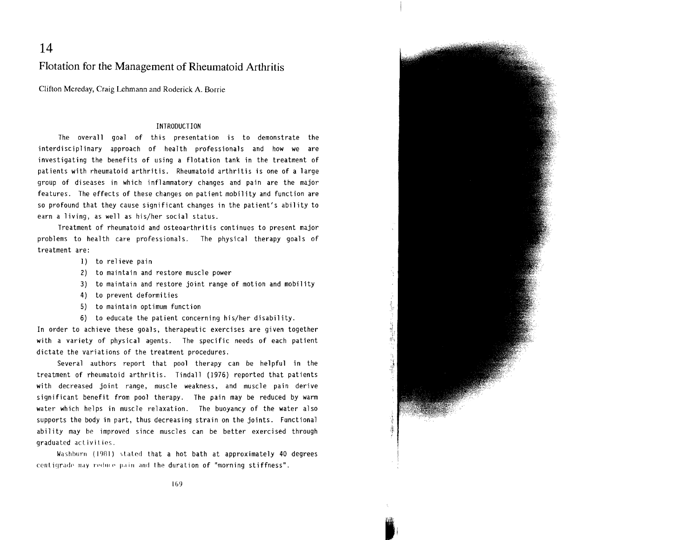**14** 

Flotation for the Management of Rheumatoid Arthritis

Clifton Mereday, Craig Lehmann and Roderick A. Borrie

## INTRODUCTION

The overall goal of this presentation is to demonstrate the interdisciplinary approach of health professionals and how we are investigating the benefits of using a flotation tank in the treatment of patients with rheumatoid arthritis. Rheumatoid arthritis is one of a large group of diseases in which inflammatory changes and pain are the major features. The effects of these changes on patient mobility and function are so profound that they cause significant changes in the patient's ability to earn a 1iving, as well as his/her social status.

Treatment of rheumatoid and osteoarthritis continues to present major problems to health care professionals. The physical therapy goals of treatment are:

- 1) to relieve pain
- 2) to maintain and restore muscle power
- 3) to maintain and restore joint range of motion and mobility
- 4) to prevent deformities
- 5) to maintain optimum function
- 6) to educate the patient concerning his/her disability.

In order to achieve these goals, therapeutic exercises are given together with a variety of physical agents. The specific needs of each patient dictate the variations of the treatment procedures.

Several authors report that pool therapy can be helpful in the treatment of rheumatoid arthritis. Tindall (1976) reported that patients with decreased joint range, muscle weakness, and muscle pain derive significant benefit from pool therapy. The pain may be reduced by warm water which helps in muscle relaxation. The buoyancy of the water also supports the body in part, thus decreasing strain on the joints. Functional ability may be improved since muscles can be better exercised through graduated activities.

Washburn (1981) stated that a hot bath at approximately 40 degrees centigrade may reduce pain and the duration of "morning stiffness".



I  $\mathbf{r}$  $\frac{1}{2}$ 

IG9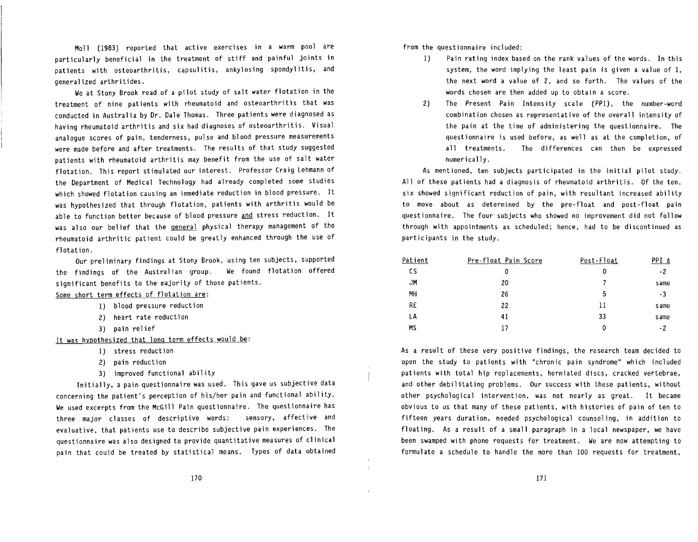Moll (1983) reported that active exercises in a warm pool are particularly beneficial in the treatment of stiff and painful joints in patients with osteoarthritis, capsulitis, ankylosing spondylitis, and generalized arthritides.

We at Stony Brook read of a pilot study of salt water flotation in the treatment of nine patients with rheumatoid and osteoarthritis that was conducted in Australia by Dr. Dale Thomas. Three patients were diagnosed as having rheumatoid arthritis and six had diagnoses of osteoarthritis. Visual analogue scores of pain, tenderness, pulse and blood pressure measurements were made before and after treatments. The results of that study suggested patients with rheumatoid arthritis may benefit from the use of salt water flotation. This report stimulated our interest. Professor Craig Lehmann of the Department of Medical Technology had already completed some studies which showed flotation causing an immediate reduction in blood pressure. It was hypothesized that through flotation, patients with arthritis would be able to function better because of blood pressure and stress reduction. It was also our belief that the **general** physical therapy management of the rheumatoid arthritic patient could be greatly enhanced through the use of flotation.

Our preliminary findings at Stony Brook, using ten subjects, supported the findings of the Australian group. We found flotation offered significant benefits to the majority of those patients.

Some short term effects of flotation are:

- 1) blood pressure reduction
- 2) heart rate reduction
- 3) pain rel ief

It was hypothesized that long term effects would be:

- 1) stress reduction
- 2) pain reduction
- 3) improved functional ability

Initially, a pain questionnaire was used. This gave us subjective data concerning the patient's perception of his/her pain and functional ability. We used excerpts from the McGill Pain questionnaire. The questionnaire has three major classes of descriptive words: sensory, affective and evaluative, that patients use to describe subjective pain experiences. The questionnaire was also designed to provide quantitative measures of clinical pain that could be treated by statistical means. Types of data obtained from the questionnaire included:

- 1) Pain rating index based on the rank values of the words. In this system, the word implying the least pain is given a value of 1, the next word a value of 2, and so forth. The values of the words chosen are then added up to obtain a score.
- 2) The Present Pain Intensity scale (PPI), the number-word combination chosen as representative of the overall intensity of the pain at the time of administering the questionnaire. The questionnaire is used before, as well as at the completion, of all treatments. The differences can then be expressed numerically.

As mentioned, ten subjects participated in the initial pilot study. All of these patients had a diagnosis of rheumatoid arthritis. Of the ten, six showed significant reduction of pain, with resultant increased ability to move about as determined by the pre-float and post-float pain questionnaire. The four subjects who showed no improvement did not follow through with appointments as scheduled; hence, had to be discontinued as participants in the study.

| Patient | Pre-float Pain Score | Post-Float | PPI ∆ |
|---------|----------------------|------------|-------|
| cs      | 0                    | 0          | -2    |
| JM      | 20                   |            | same  |
| MН      | 26                   | 5          | -3    |
| RE      | 22                   | 11         | same  |
| LΑ      | 41                   | 33         | same  |
| МS      | 17                   | 0          | - 2   |

As a result of these very positive findings, the research team decided to open the study to patients with "chronic pain syndrome" which included patients with total hip replacements, herniated discs, cracked vertebrae, and other debilitating problems. Our success with these patients, without other psychological intervention, was not nearly as great. It became obvious to us that many of these patients, with histories of pain of ten to fifteen years duration, needed psychological counsel ing, in addition to floating. As a result of a small paragraph in a local newspaper, we have been swamped with phone requests for treatment. We are now attempting to formulate a schedule to handle the more than 100 requests for treatment,

 $\mathcal{I}^{\pm}$